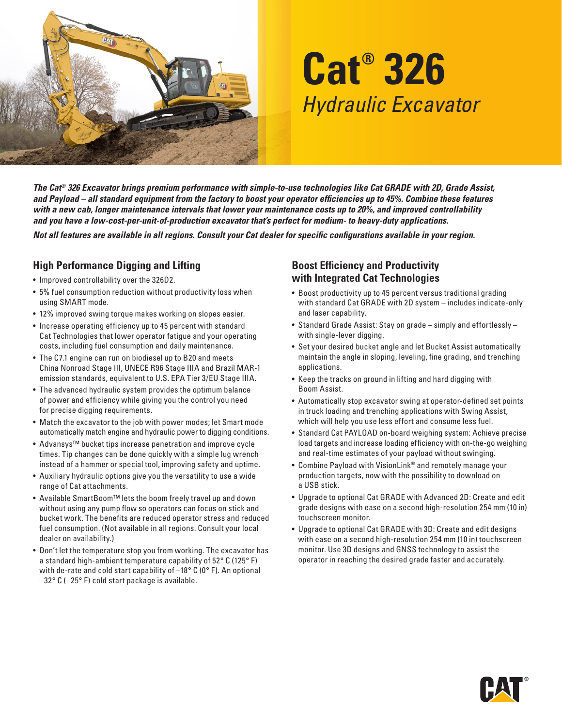

# **Cat® 326**  *Hydraulic Excavator*

*The Cat® 326 Excavator brings premium performance with simple-to-use technologies like Cat GRADE with 2D, Grade Assist, and Payload – all standard equipment from the factory to boost your operator efficiencies up to 45%. Combine these features with a new cab, longer maintenance intervals that lower your maintenance costs up to 20%, and improved controllability and you have a low-cost-per-unit-of-production excavator that's perfect for medium- to heavy-duty applications.* 

*Not all features are available in all regions. Consult your Cat dealer for specific configurations available in your region.* 

# **High Performance Digging and Lifting**

- Improved controllability over the 326D2.
- 5% fuel consumption reduction without productivity loss when using SMART mode.
- 12% improved swing torque makes working on slopes easier.
- Increase operating efficiency up to 45 percent with standard Cat Technologies that lower operator fatigue and your operating costs, including fuel consumption and daily maintenance.
- The C7.1 engine can run on biodiesel up to B20 and meets China Nonroad Stage III, UNECE R96 Stage IIIA and Brazil MAR-1 emission standards, equivalent to U.S. EPA Tier 3/EU Stage IIIA.
- The advanced hydraulic system provides the optimum balance of power and efficiency while giving you the control you need for precise digging requirements.
- Match the excavator to the job with power modes; let Smart mode automatically match engine and hydraulic power to digging conditions.
- Advansys™ bucket tips increase penetration and improve cycle times. Tip changes can be done quickly with a simple lug wrench instead of a hammer or special tool, improving safety and uptime.
- Auxiliary hydraulic options give you the versatility to use a wide range of Cat attachments.
- Available SmartBoom™ lets the boom freely travel up and down without using any pump flow so operators can focus on stick and bucket work. The benefits are reduced operator stress and reduced fuel consumption. (Not available in all regions. Consult your local dealer on availability.)
- Don't let the temperature stop you from working. The excavator has a standard high-ambient temperature capability of  $52^{\circ}$  C (125°F) with de-rate and cold start capability of  $-18^{\circ}$  C (0° F). An optional  $-32$ ° C ( $-25$ °F) cold start package is available.

### **Boost Efficiency and Productivity with Integrated Cat Technologies**

- Boost productivity up to 45 percent versus traditional grading with standard Cat GRADE with 2D system - includes indicate-only and laser capability.
- Standard Grade Assist: Stay on grade simply and effortlessly with single-lever digging.
- Set your desired bucket angle and let Bucket Assist automatically maintain the angle in sloping, leveling, fine grading, and trenching applications.
- Keep the tracks on ground in lifting and hard digging with Boom Assist.
- Automatically stop excavator swing at operator-defined set points in truck loading and trenching applications with Swing Assist, which will help you use less effort and consume less fuel.
- Standard Cat PAYLOAD on-board weighing system: Achieve precise load targets and increase loading efficiency with on-the-go weighing and real-time estimates of your payload without swinging.
- Combine Payload with VisionLink® and remotely manage your production targets, now with the possibility to download on a USB stick.
- Upgrade to optional Cat GRADE with Advanced 2D: Create and edit grade designs with ease on a second high-resolution 254 mm (10 in) touchscreen monitor.
- Upgrade to optional Cat GRADE with 3D: Create and edit designs with ease on a second high-resolution 254 mm (10 in) touchscreen monitor. Use 3D designs and GNSS technology to assist the operator in reaching the desired grade faster and accurately.

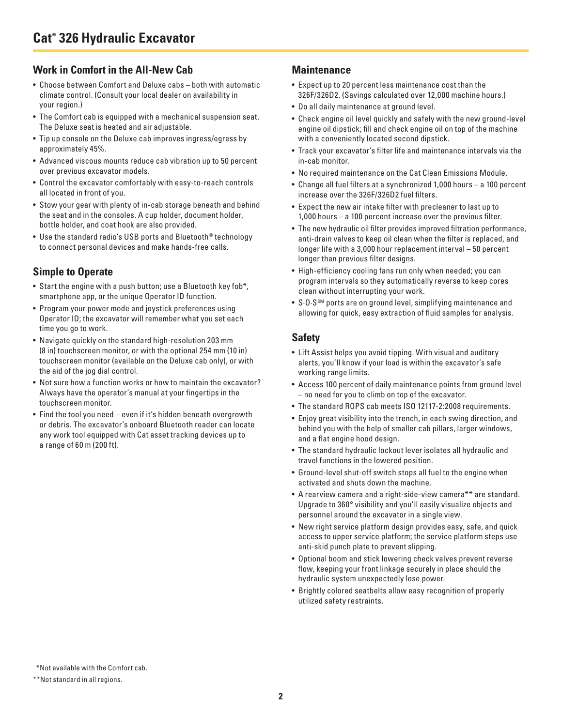## **Work in Comfort in the All-New Cab**

- Choose between Comfort and Deluxe cabs both with automatic climate control. (Consult your local dealer on availability in your region.)
- The Comfort cab is equipped with a mechanical suspension seat. The Deluxe seat is heated and air adjustable.
- Tip up console on the Deluxe cab improves ingress/egress by approximately 45%.
- Advanced viscous mounts reduce cab vibration up to 50 percent over previous excavator models.
- Control the excavator comfortably with easy-to-reach controls all located in front of you.
- Stow your gear with plenty of in-cab storage beneath and behind the seat and in the consoles. A cup holder, document holder, bottle holder, and coat hook are also provided.
- Use the standard radio's USB ports and Bluetooth® technology to connect personal devices and make hands-free calls.

# **Simple to Operate**

- Start the engine with a push button; use a Bluetooth key fob\*, smartphone app, or the unique Operator ID function.
- Program your power mode and joystick preferences using Operator ID; the excavator will remember what you set each time you go to work.
- Navigate quickly on the standard high-resolution 203 mm (8 in) touchscreen monitor, or with the optional 254 mm (10 in) touchscreen monitor (available on the Deluxe cab only), or with the aid of the jog dial control.
- Not sure how a function works or how to maintain the excavator? Always have the operator's manual at your fingertips in the touchscreen monitor.
- Find the tool you need even if it's hidden beneath overgrowth or debris. The excavator 's onboard Bluetooth reader can locate any work tool equipped with Cat asset tracking devices up to a range of 60 m (200 ft).

#### **Maintenance**

- E xpect up to 20 percent less maintenance cost than the 326F/ 326D2. (Savings calculated over 12,000 machine hours.)
- Do all daily maintenance at ground level.
- Check engine oil level quickly and safely with the new ground-level engine oil dipstick; fill and check engine oil on top of the machine with a conveniently located second dipstick.
- Track your excavator 's filter life and maintenance inter vals via the in-cab monitor.
- No required maintenance on the Cat Clean Emissions Module.
- Change all fuel filters at a synchronized 1,000 hours a 100 percent increase over the 326F/326D2 fuel filters.
- Expect the new air intake filter with precleaner to last up to 1,000 hours - a 100 percent increase over the previous filter.
- The new hydraulic oil filter provides improved filtration performance, anti-drain valves to keep oil clean when the filter is replaced, and longer life with a 3,000 hour replacement interval  $-50$  percent longer than previous filter designs.
- High-efficiency cooling fans run only when needed; you can program intervals so they automatically reverse to keep cores clean without interrupting your work .
- S.O.S<sup>SM</sup> ports are on ground level, simplifying maintenance and allowing for quick, easy extraction of fluid samples for analysis.

# **Safety**

- Lift Assist helps you avoid tipping. With visual and auditory alerts, you'll know if your load is within the excavator's safe working range limits.
- Access 100 percent of daily maintenance points from ground level – no need for you to climb on top of the excavator.
- The standard ROPS cab meets ISO 12117-2:2008 requirements.
- Enjoy great visibility into the trench, in each swing direction, and behind you with the help of smaller cab pillars, larger windows, and a flat engine hood design.
- The standard hydraulic lockout lever isolates all hydraulic and travel functions in the lowered position.
- Ground-level shut-off switch stops all fuel to the engine when activated and shuts down the machine.
- A rearview camera and a right-side-view camera\*\* are standard. Upgrade to 360° visibility and you'll easily visualize objects and personnel around the excavator in a single view.
- New right service platform design provides easy, safe, and quick access to upper service platform; the service platform steps use anti-skid punch plate to prevent slipping.
- Optional boom and stick lowering check valves prevent reverse flow, keeping your front linkage securely in place should the hydraulic system unexpectedly lose power.
- Brightly colored seatbelts allow easy recognition of properly utilized safety restraints.

<sup>\*</sup>Not available with the Comfort cab.

<sup>\* \*</sup>Not standard in all regions.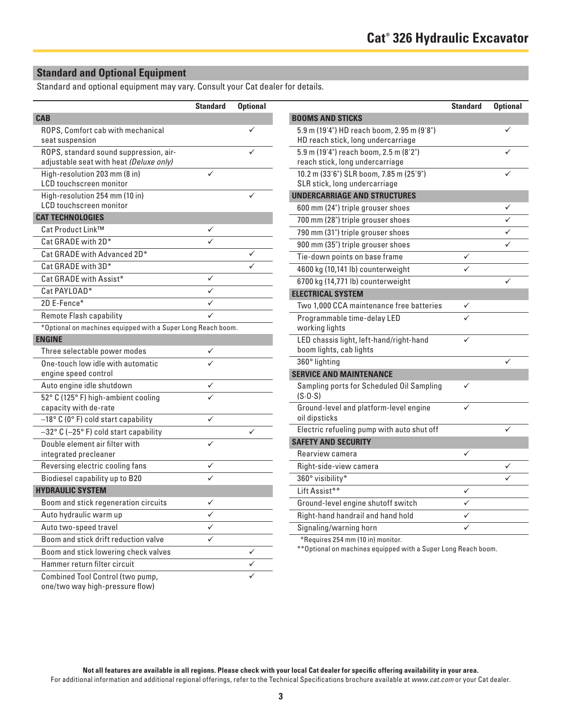# **Standard and Optional Equipment**

Standard and optional equipment may vary. Consult your Cat dealer for details.

|                                                                                   | <b>Standard</b> | <b>Optional</b> |                                                                                  | <b>Standard</b> | <b>Optional</b> |
|-----------------------------------------------------------------------------------|-----------------|-----------------|----------------------------------------------------------------------------------|-----------------|-----------------|
| <b>CAB</b>                                                                        |                 |                 | <b>BOOMS AND STICKS</b>                                                          |                 |                 |
| ROPS, Comfort cab with mechanical<br>seat suspension                              |                 | ✓               | 5.9 m (19'4") HD reach boom, 2.95 m (9'8")<br>HD reach stick, long undercarriage |                 | ✓               |
| ROPS, standard sound suppression, air-<br>adjustable seat with heat (Deluxe only) |                 | $\checkmark$    | 5.9 m (19'4") reach boom, 2.5 m (8'2")<br>reach stick, long undercarriage        |                 | ✓               |
| High-resolution 203 mm (8 in)<br>LCD touchscreen monitor                          | ✓               |                 | 10.2 m (33'6") SLR boom, 7.85 m (25'9")<br>SLR stick, long undercarriage         |                 | ✓               |
| High-resolution 254 mm (10 in)                                                    |                 | ✓               | <b>UNDERCARRIAGE AND STRUCTURES</b>                                              |                 |                 |
| LCD touchscreen monitor                                                           |                 |                 | 600 mm (24") triple grouser shoes                                                |                 | ✓               |
| <b>CAT TECHNOLOGIES</b>                                                           |                 |                 | 700 mm (28") triple grouser shoes                                                |                 | ✓               |
| Cat Product Link™                                                                 | $\checkmark$    |                 | 790 mm (31") triple grouser shoes                                                |                 |                 |
| Cat GRADE with 2D*                                                                |                 |                 | 900 mm (35") triple grouser shoes                                                |                 | ✓               |
| Cat GRADE with Advanced 2D*                                                       |                 | ✓               | Tie-down points on base frame                                                    | $\checkmark$    |                 |
| Cat GRADE with 3D*                                                                |                 |                 | 4600 kg (10,141 lb) counterweight                                                | ✓               |                 |
| Cat GRADE with Assist*                                                            | $\checkmark$    |                 | 6700 kg (14,771 lb) counterweight                                                |                 | ✓               |
| Cat PAYLOAD*                                                                      | $\checkmark$    |                 | <b>ELECTRICAL SYSTEM</b>                                                         |                 |                 |
| 2D E-Fence*                                                                       | ✓               |                 | Two 1,000 CCA maintenance free batteries                                         | ✓               |                 |
| Remote Flash capability                                                           | ✓               |                 | Programmable time-delay LED                                                      | ✓               |                 |
| *Optional on machines equipped with a Super Long Reach boom.                      |                 |                 | working lights                                                                   |                 |                 |
| <b>ENGINE</b>                                                                     |                 |                 | LED chassis light, left-hand/right-hand                                          | $\checkmark$    |                 |
| Three selectable power modes                                                      | $\checkmark$    |                 | boom lights, cab lights                                                          |                 |                 |
| One-touch low idle with automatic                                                 | ✓               |                 | 360° lighting                                                                    |                 | ✓               |
| engine speed control                                                              |                 |                 | <b>SERVICE AND MAINTENANCE</b>                                                   |                 |                 |
| Auto engine idle shutdown                                                         | $\checkmark$    |                 | Sampling ports for Scheduled Oil Sampling                                        | $\checkmark$    |                 |
| 52° C (125° F) high-ambient cooling                                               | ✓               |                 | (S.0.5)                                                                          |                 |                 |
| capacity with de-rate                                                             |                 |                 | Ground-level and platform-level engine                                           | ✓               |                 |
| -18° C (0° F) cold start capability                                               | $\checkmark$    |                 | oil dipsticks                                                                    |                 |                 |
| $-32^{\circ}$ C (-25°F) cold start capability                                     |                 | $\checkmark$    | Electric refueling pump with auto shut off                                       |                 | ✓               |
| Double element air filter with                                                    | $\checkmark$    |                 | <b>SAFETY AND SECURITY</b>                                                       |                 |                 |
| integrated precleaner                                                             |                 |                 | Rearview camera                                                                  | ✓               |                 |
| Reversing electric cooling fans                                                   | ✓               |                 | Right-side-view camera                                                           |                 | ✓               |
| Biodiesel capability up to B20                                                    | $\checkmark$    |                 | 360° visibility*                                                                 |                 | $\checkmark$    |
| <b>HYDRAULIC SYSTEM</b>                                                           |                 |                 | Lift Assist**                                                                    | ✓               |                 |
| Boom and stick regeneration circuits                                              | ✓               |                 | Ground-level engine shutoff switch                                               | ✓               |                 |
| Auto hydraulic warm up                                                            | $\checkmark$    |                 | Right-hand handrail and hand hold                                                | ✓               |                 |
| Auto two-speed travel                                                             | ✓               |                 | Signaling/warning horn                                                           | ✓               |                 |
| Boom and stick drift reduction valve                                              | ✓               |                 | *Requires 254 mm (10 in) monitor.                                                |                 |                 |
| Boom and stick lowering check valves                                              |                 | ✓               | ** Optional on machines equipped with a Super Long Reach boom.                   |                 |                 |
| Hammer return filter circuit                                                      |                 | ✓               |                                                                                  |                 |                 |
| Combined Tool Control (two pump,<br>one/two way high-pressure flow)               |                 | ✓               |                                                                                  |                 |                 |

Not all features are available in all regions. Please check with your local Cat dealer for specific offering availability in your area. For additional information and additional regional offerings, refer to the Technical Specifications brochure available at *www.cat.com* or your Cat dealer.